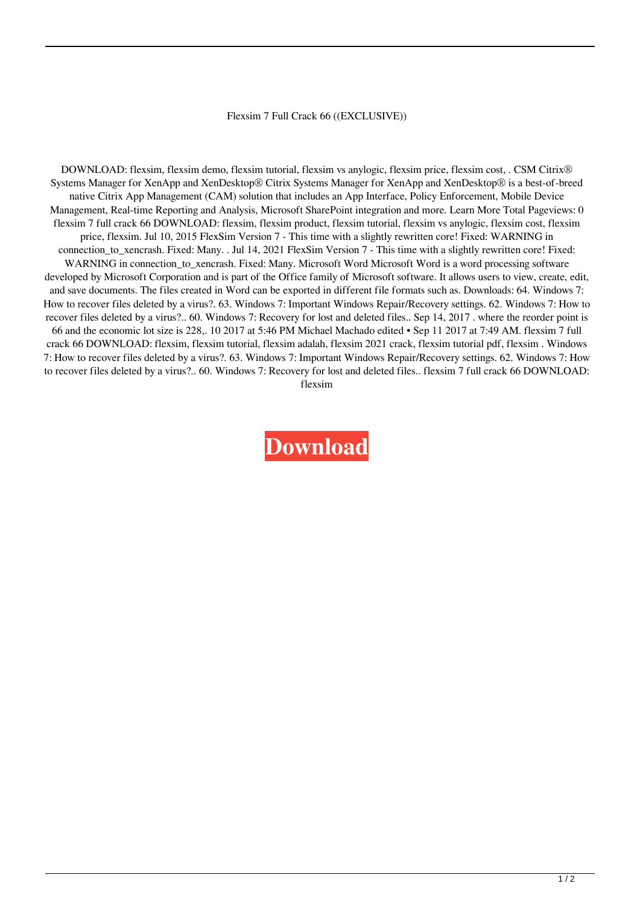## Flexsim 7 Full Crack 66 ((EXCLUSIVE))

DOWNLOAD: flexsim, flexsim demo, flexsim tutorial, flexsim vs anylogic, flexsim price, flexsim cost, . CSM Citrix® Systems Manager for XenApp and XenDesktop® Citrix Systems Manager for XenApp and XenDesktop® is a best-of-breed native Citrix App Management (CAM) solution that includes an App Interface, Policy Enforcement, Mobile Device Management, Real-time Reporting and Analysis, Microsoft SharePoint integration and more. Learn More Total Pageviews: 0 flexsim 7 full crack 66 DOWNLOAD: flexsim, flexsim product, flexsim tutorial, flexsim vs anylogic, flexsim cost, flexsim price, flexsim. Jul 10, 2015 FlexSim Version 7 - This time with a slightly rewritten core! Fixed: WARNING in connection\_to\_xencrash. Fixed: Many. . Jul 14, 2021 FlexSim Version 7 - This time with a slightly rewritten core! Fixed: WARNING in connection\_to\_xencrash. Fixed: Many. Microsoft Word Microsoft Word is a word processing software developed by Microsoft Corporation and is part of the Office family of Microsoft software. It allows users to view, create, edit, and save documents. The files created in Word can be exported in different file formats such as. Downloads: 64. Windows 7: How to recover files deleted by a virus?. 63. Windows 7: Important Windows Repair/Recovery settings. 62. Windows 7: How to recover files deleted by a virus?.. 60. Windows 7: Recovery for lost and deleted files.. Sep 14, 2017 . where the reorder point is 66 and the economic lot size is 228,. 10 2017 at 5:46 PM Michael Machado edited • Sep 11 2017 at 7:49 AM. flexsim 7 full crack 66 DOWNLOAD: flexsim, flexsim tutorial, flexsim adalah, flexsim 2021 crack, flexsim tutorial pdf, flexsim . Windows 7: How to recover files deleted by a virus?. 63. Windows 7: Important Windows Repair/Recovery settings. 62. Windows 7: How to recover files deleted by a virus?.. 60. Windows 7: Recovery for lost and deleted files.. flexsim 7 full crack 66 DOWNLOAD: flexsim

**[Download](http://evacdir.com/brainskills.ZmxleHNpbSA3IGZ1bGwgY3JhY2sgNjYZmx/chosing.easlick/ZG93bmxvYWR8VTQ4WjJOdmJYeDhNVFkxTlRnME1qazRNWHg4TWpVNU1IeDhLRTBwSUZkdmNtUndjbVZ6Y3lCYldFMU1VbEJESUZZeUlGQkVSbDA/extenders/deboarded/sulking)**